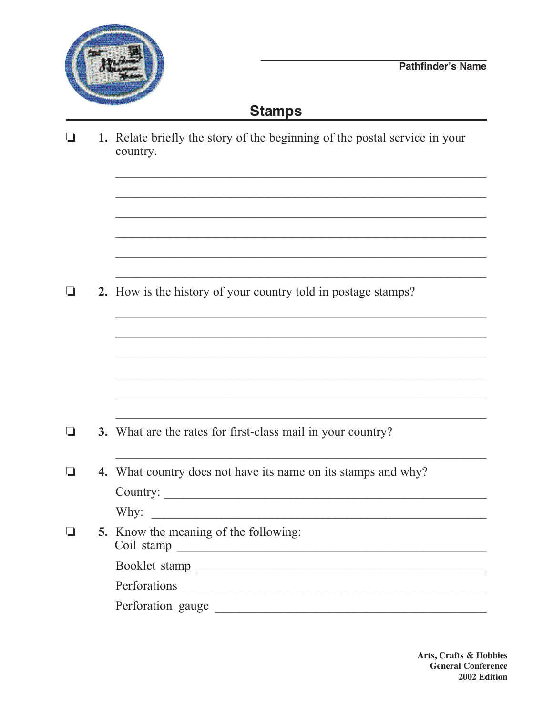

## **Stamps**

|        | 1. Relate briefly the story of the beginning of the postal service in your<br>country. |
|--------|----------------------------------------------------------------------------------------|
|        | 2. How is the history of your country told in postage stamps?                          |
|        |                                                                                        |
| ⊔      | 3. What are the rates for first-class mail in your country?                            |
| $\Box$ | 4. What country does not have its name on its stamps and why?<br>Country:              |
|        | 5. Know the meaning of the following:                                                  |
|        |                                                                                        |
|        |                                                                                        |
|        | Perforation gauge                                                                      |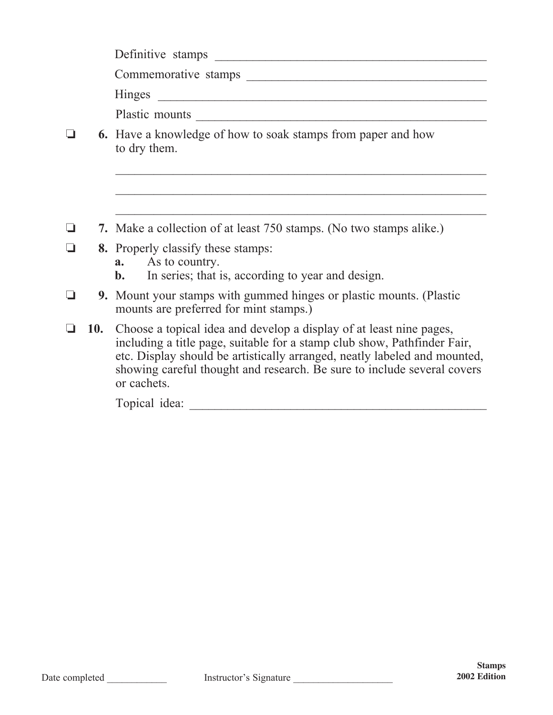|        | Commemorative stamps                                                                                                                                                                                                                                                                                                       |
|--------|----------------------------------------------------------------------------------------------------------------------------------------------------------------------------------------------------------------------------------------------------------------------------------------------------------------------------|
|        |                                                                                                                                                                                                                                                                                                                            |
|        | Plastic mounts                                                                                                                                                                                                                                                                                                             |
|        | <b>6.</b> Have a knowledge of how to soak stamps from paper and how<br>to dry them.                                                                                                                                                                                                                                        |
|        |                                                                                                                                                                                                                                                                                                                            |
|        |                                                                                                                                                                                                                                                                                                                            |
|        | 7. Make a collection of at least 750 stamps. (No two stamps alike.)                                                                                                                                                                                                                                                        |
| $\Box$ | 8. Properly classify these stamps:                                                                                                                                                                                                                                                                                         |
|        | <b>a.</b> As to country.<br>In series; that is, according to year and design.<br><b>b.</b>                                                                                                                                                                                                                                 |
|        | <b>9.</b> Mount your stamps with gummed hinges or plastic mounts. (Plastic<br>mounts are preferred for mint stamps.)                                                                                                                                                                                                       |
|        | 10. Choose a topical idea and develop a display of at least nine pages,<br>including a title page, suitable for a stamp club show, Pathfinder Fair,<br>etc. Display should be artistically arranged, neatly labeled and mounted,<br>showing careful thought and research. Be sure to include several covers<br>or cachets. |

Topical idea: \_\_\_\_\_\_\_\_\_\_\_\_\_\_\_\_\_\_\_\_\_\_\_\_\_\_\_\_\_\_\_\_\_\_\_\_\_\_\_\_\_\_\_\_\_\_\_